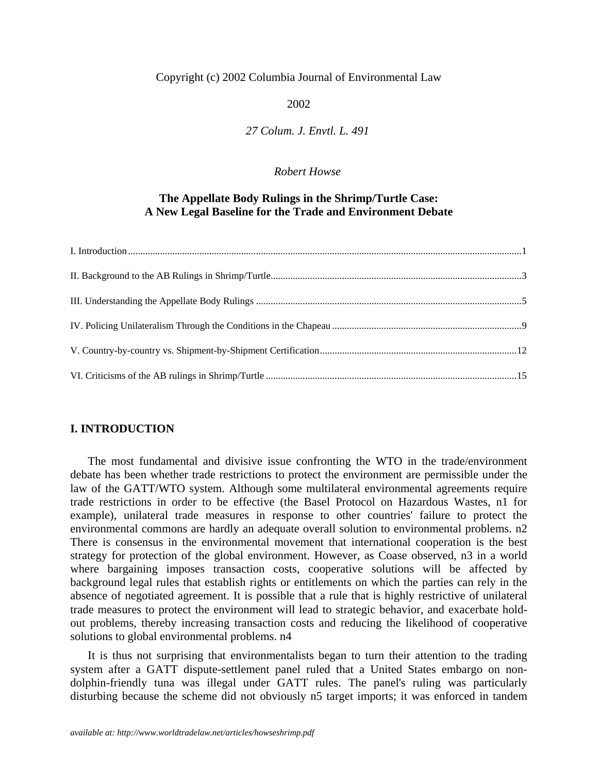#### Copyright (c) 2002 Columbia Journal of Environmental Law

#### 2002

### *27 Colum. J. Envtl. L. 491*

#### *Robert Howse*

### **The Appellate Body Rulings in the Shrimp/Turtle Case: A New Legal Baseline for the Trade and Environment Debate**

#### <span id="page-0-0"></span>**I. INTRODUCTION**

The most fundamental and divisive issue confronting the WTO in the trade/environment debate has been whether trade restrictions to protect the environment are permissible under the law of the GATT/WTO system. Although some multilateral environmental agreements require trade restrictions in order to be effective (the Basel Protocol on Hazardous Wastes, n1 for example), unilateral trade measures in response to other countries' failure to protect the environmental commons are hardly an adequate overall solution to environmental problems. n2 There is consensus in the environmental movement that international cooperation is the best strategy for protection of the global environment. However, as Coase observed, n3 in a world where bargaining imposes transaction costs, cooperative solutions will be affected by background legal rules that establish rights or entitlements on which the parties can rely in the absence of negotiated agreement. It is possible that a rule that is highly restrictive of unilateral trade measures to protect the environment will lead to strategic behavior, and exacerbate holdout problems, thereby increasing transaction costs and reducing the likelihood of cooperative solutions to global environmental problems. n4

It is thus not surprising that environmentalists began to turn their attention to the trading system after a GATT dispute-settlement panel ruled that a United States embargo on nondolphin-friendly tuna was illegal under GATT rules. The panel's ruling was particularly disturbing because the scheme did not obviously n5 target imports; it was enforced in tandem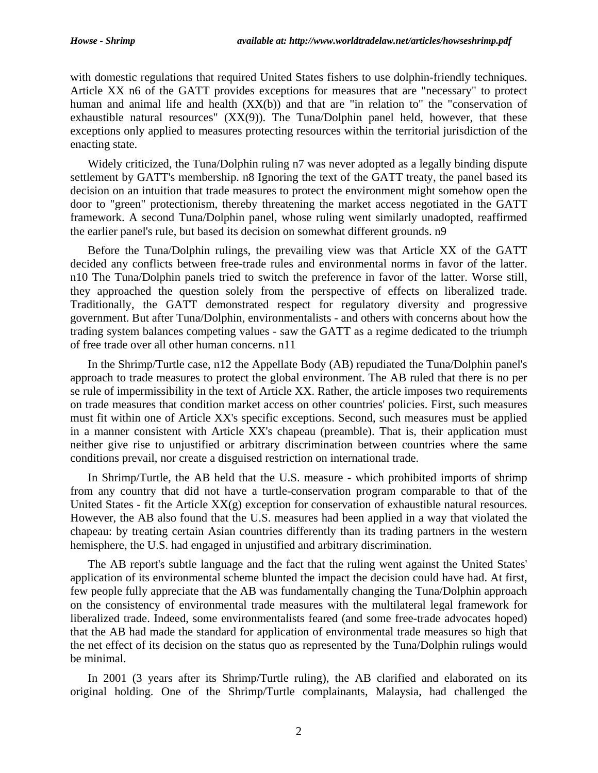with domestic regulations that required United States fishers to use dolphin-friendly techniques. Article XX n6 of the GATT provides exceptions for measures that are "necessary" to protect human and animal life and health  $(XX(b))$  and that are "in relation to" the "conservation of exhaustible natural resources"  $(XX(9))$ . The Tuna/Dolphin panel held, however, that these exceptions only applied to measures protecting resources within the territorial jurisdiction of the enacting state.

Widely criticized, the Tuna/Dolphin ruling n7 was never adopted as a legally binding dispute settlement by GATT's membership. n8 Ignoring the text of the GATT treaty, the panel based its decision on an intuition that trade measures to protect the environment might somehow open the door to "green" protectionism, thereby threatening the market access negotiated in the GATT framework. A second Tuna/Dolphin panel, whose ruling went similarly unadopted, reaffirmed the earlier panel's rule, but based its decision on somewhat different grounds. n9

Before the Tuna/Dolphin rulings, the prevailing view was that Article XX of the GATT decided any conflicts between free-trade rules and environmental norms in favor of the latter. n10 The Tuna/Dolphin panels tried to switch the preference in favor of the latter. Worse still, they approached the question solely from the perspective of effects on liberalized trade. Traditionally, the GATT demonstrated respect for regulatory diversity and progressive government. But after Tuna/Dolphin, environmentalists - and others with concerns about how the trading system balances competing values - saw the GATT as a regime dedicated to the triumph of free trade over all other human concerns. n11

In the Shrimp/Turtle case, n12 the Appellate Body (AB) repudiated the Tuna/Dolphin panel's approach to trade measures to protect the global environment. The AB ruled that there is no per se rule of impermissibility in the text of Article XX. Rather, the article imposes two requirements on trade measures that condition market access on other countries' policies. First, such measures must fit within one of Article XX's specific exceptions. Second, such measures must be applied in a manner consistent with Article XX's chapeau (preamble). That is, their application must neither give rise to unjustified or arbitrary discrimination between countries where the same conditions prevail, nor create a disguised restriction on international trade.

In Shrimp/Turtle, the AB held that the U.S. measure - which prohibited imports of shrimp from any country that did not have a turtle-conservation program comparable to that of the United States - fit the Article  $XX(g)$  exception for conservation of exhaustible natural resources. However, the AB also found that the U.S. measures had been applied in a way that violated the chapeau: by treating certain Asian countries differently than its trading partners in the western hemisphere, the U.S. had engaged in unjustified and arbitrary discrimination.

The AB report's subtle language and the fact that the ruling went against the United States' application of its environmental scheme blunted the impact the decision could have had. At first, few people fully appreciate that the AB was fundamentally changing the Tuna/Dolphin approach on the consistency of environmental trade measures with the multilateral legal framework for liberalized trade. Indeed, some environmentalists feared (and some free-trade advocates hoped) that the AB had made the standard for application of environmental trade measures so high that the net effect of its decision on the status quo as represented by the Tuna/Dolphin rulings would be minimal.

In 2001 (3 years after its Shrimp/Turtle ruling), the AB clarified and elaborated on its original holding. One of the Shrimp/Turtle complainants, Malaysia, had challenged the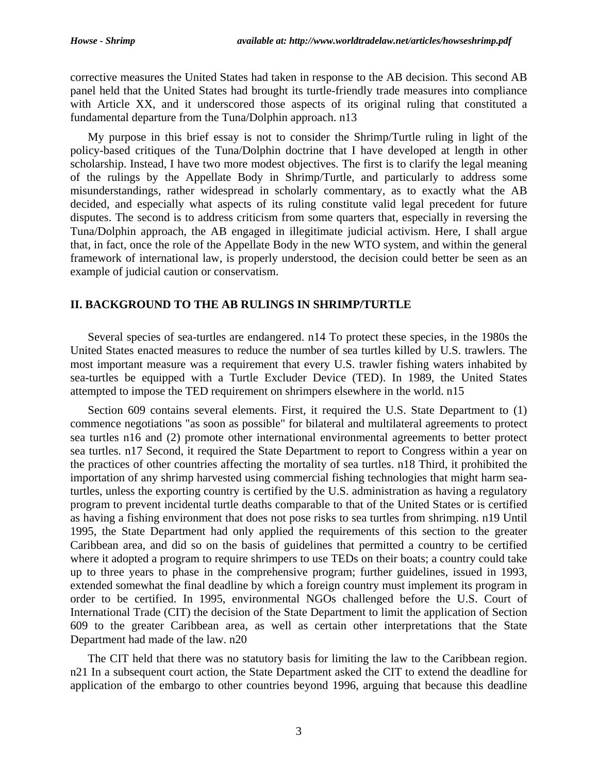corrective measures the United States had taken in response to the AB decision. This second AB panel held that the United States had brought its turtle-friendly trade measures into compliance with Article XX, and it underscored those aspects of its original ruling that constituted a fundamental departure from the Tuna/Dolphin approach. n13

My purpose in this brief essay is not to consider the Shrimp/Turtle ruling in light of the policy-based critiques of the Tuna/Dolphin doctrine that I have developed at length in other scholarship. Instead, I have two more modest objectives. The first is to clarify the legal meaning of the rulings by the Appellate Body in Shrimp/Turtle, and particularly to address some misunderstandings, rather widespread in scholarly commentary, as to exactly what the AB decided, and especially what aspects of its ruling constitute valid legal precedent for future disputes. The second is to address criticism from some quarters that, especially in reversing the Tuna/Dolphin approach, the AB engaged in illegitimate judicial activism. Here, I shall argue that, in fact, once the role of the Appellate Body in the new WTO system, and within the general framework of international law, is properly understood, the decision could better be seen as an example of judicial caution or conservatism.

## <span id="page-2-0"></span>**II. BACKGROUND TO THE AB RULINGS IN SHRIMP/TURTLE**

Several species of sea-turtles are endangered. n14 To protect these species, in the 1980s the United States enacted measures to reduce the number of sea turtles killed by U.S. trawlers. The most important measure was a requirement that every U.S. trawler fishing waters inhabited by sea-turtles be equipped with a Turtle Excluder Device (TED). In 1989, the United States attempted to impose the TED requirement on shrimpers elsewhere in the world. n15

Section 609 contains several elements. First, it required the U.S. State Department to (1) commence negotiations "as soon as possible" for bilateral and multilateral agreements to protect sea turtles n16 and (2) promote other international environmental agreements to better protect sea turtles. n17 Second, it required the State Department to report to Congress within a year on the practices of other countries affecting the mortality of sea turtles. n18 Third, it prohibited the importation of any shrimp harvested using commercial fishing technologies that might harm seaturtles, unless the exporting country is certified by the U.S. administration as having a regulatory program to prevent incidental turtle deaths comparable to that of the United States or is certified as having a fishing environment that does not pose risks to sea turtles from shrimping. n19 Until 1995, the State Department had only applied the requirements of this section to the greater Caribbean area, and did so on the basis of guidelines that permitted a country to be certified where it adopted a program to require shrimpers to use TEDs on their boats; a country could take up to three years to phase in the comprehensive program; further guidelines, issued in 1993, extended somewhat the final deadline by which a foreign country must implement its program in order to be certified. In 1995, environmental NGOs challenged before the U.S. Court of International Trade (CIT) the decision of the State Department to limit the application of Section 609 to the greater Caribbean area, as well as certain other interpretations that the State Department had made of the law. n20

The CIT held that there was no statutory basis for limiting the law to the Caribbean region. n21 In a subsequent court action, the State Department asked the CIT to extend the deadline for application of the embargo to other countries beyond 1996, arguing that because this deadline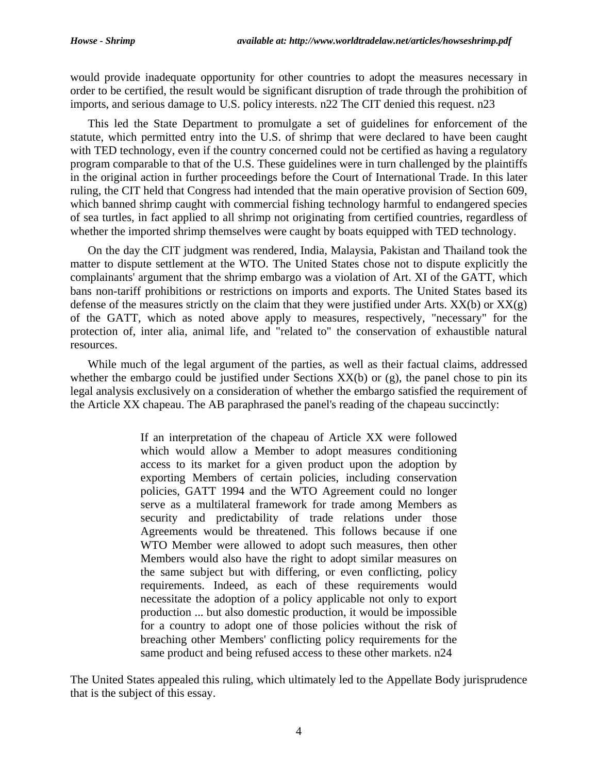would provide inadequate opportunity for other countries to adopt the measures necessary in order to be certified, the result would be significant disruption of trade through the prohibition of imports, and serious damage to U.S. policy interests. n22 The CIT denied this request. n23

This led the State Department to promulgate a set of guidelines for enforcement of the statute, which permitted entry into the U.S. of shrimp that were declared to have been caught with TED technology, even if the country concerned could not be certified as having a regulatory program comparable to that of the U.S. These guidelines were in turn challenged by the plaintiffs in the original action in further proceedings before the Court of International Trade. In this later ruling, the CIT held that Congress had intended that the main operative provision of Section 609, which banned shrimp caught with commercial fishing technology harmful to endangered species of sea turtles, in fact applied to all shrimp not originating from certified countries, regardless of whether the imported shrimp themselves were caught by boats equipped with TED technology.

On the day the CIT judgment was rendered, India, Malaysia, Pakistan and Thailand took the matter to dispute settlement at the WTO. The United States chose not to dispute explicitly the complainants' argument that the shrimp embargo was a violation of Art. XI of the GATT, which bans non-tariff prohibitions or restrictions on imports and exports. The United States based its defense of the measures strictly on the claim that they were justified under Arts.  $XX(b)$  or  $XX(g)$ of the GATT, which as noted above apply to measures, respectively, "necessary" for the protection of, inter alia, animal life, and "related to" the conservation of exhaustible natural resources.

While much of the legal argument of the parties, as well as their factual claims, addressed whether the embargo could be justified under Sections  $XX(b)$  or (g), the panel chose to pin its legal analysis exclusively on a consideration of whether the embargo satisfied the requirement of the Article XX chapeau. The AB paraphrased the panel's reading of the chapeau succinctly:

> If an interpretation of the chapeau of Article XX were followed which would allow a Member to adopt measures conditioning access to its market for a given product upon the adoption by exporting Members of certain policies, including conservation policies, GATT 1994 and the WTO Agreement could no longer serve as a multilateral framework for trade among Members as security and predictability of trade relations under those Agreements would be threatened. This follows because if one WTO Member were allowed to adopt such measures, then other Members would also have the right to adopt similar measures on the same subject but with differing, or even conflicting, policy requirements. Indeed, as each of these requirements would necessitate the adoption of a policy applicable not only to export production ... but also domestic production, it would be impossible for a country to adopt one of those policies without the risk of breaching other Members' conflicting policy requirements for the same product and being refused access to these other markets. n24

The United States appealed this ruling, which ultimately led to the Appellate Body jurisprudence that is the subject of this essay.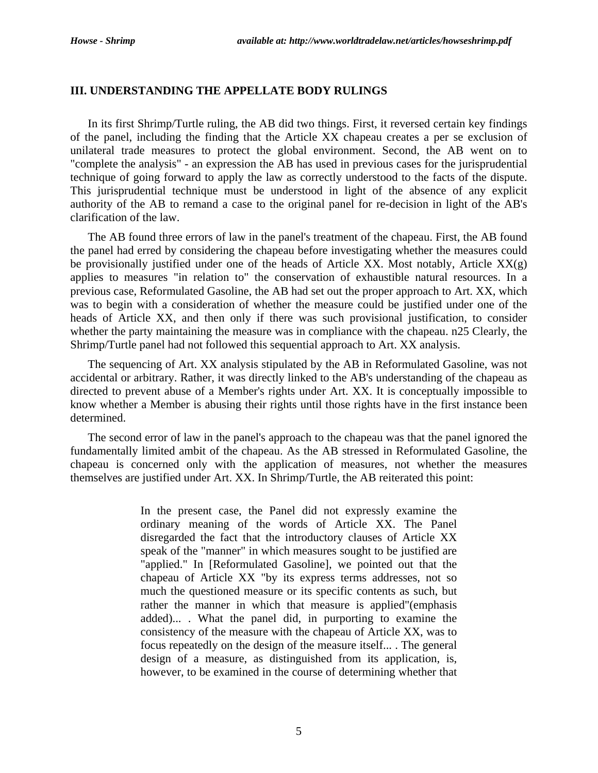# <span id="page-4-0"></span>**III. UNDERSTANDING THE APPELLATE BODY RULINGS**

In its first Shrimp/Turtle ruling, the AB did two things. First, it reversed certain key findings of the panel, including the finding that the Article XX chapeau creates a per se exclusion of unilateral trade measures to protect the global environment. Second, the AB went on to "complete the analysis" - an expression the AB has used in previous cases for the jurisprudential technique of going forward to apply the law as correctly understood to the facts of the dispute. This jurisprudential technique must be understood in light of the absence of any explicit authority of the AB to remand a case to the original panel for re-decision in light of the AB's clarification of the law.

The AB found three errors of law in the panel's treatment of the chapeau. First, the AB found the panel had erred by considering the chapeau before investigating whether the measures could be provisionally justified under one of the heads of Article XX. Most notably, Article  $XX(g)$ applies to measures "in relation to" the conservation of exhaustible natural resources. In a previous case, Reformulated Gasoline, the AB had set out the proper approach to Art. XX, which was to begin with a consideration of whether the measure could be justified under one of the heads of Article XX, and then only if there was such provisional justification, to consider whether the party maintaining the measure was in compliance with the chapeau. n25 Clearly, the Shrimp/Turtle panel had not followed this sequential approach to Art. XX analysis.

The sequencing of Art. XX analysis stipulated by the AB in Reformulated Gasoline, was not accidental or arbitrary. Rather, it was directly linked to the AB's understanding of the chapeau as directed to prevent abuse of a Member's rights under Art. XX. It is conceptually impossible to know whether a Member is abusing their rights until those rights have in the first instance been determined.

The second error of law in the panel's approach to the chapeau was that the panel ignored the fundamentally limited ambit of the chapeau. As the AB stressed in Reformulated Gasoline, the chapeau is concerned only with the application of measures, not whether the measures themselves are justified under Art. XX. In Shrimp/Turtle, the AB reiterated this point:

> In the present case, the Panel did not expressly examine the ordinary meaning of the words of Article XX. The Panel disregarded the fact that the introductory clauses of Article XX speak of the "manner" in which measures sought to be justified are "applied." In [Reformulated Gasoline], we pointed out that the chapeau of Article XX "by its express terms addresses, not so much the questioned measure or its specific contents as such, but rather the manner in which that measure is applied"(emphasis added)... . What the panel did, in purporting to examine the consistency of the measure with the chapeau of Article XX, was to focus repeatedly on the design of the measure itself... . The general design of a measure, as distinguished from its application, is, however, to be examined in the course of determining whether that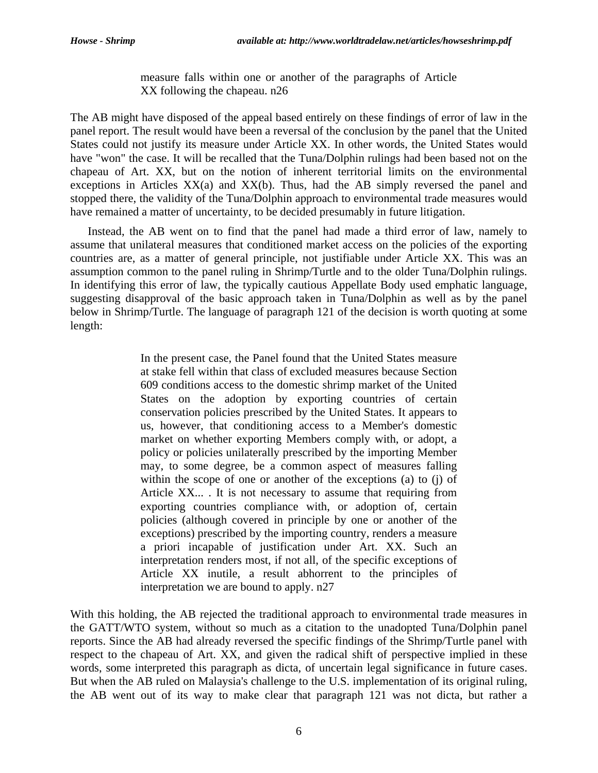measure falls within one or another of the paragraphs of Article XX following the chapeau. n26

The AB might have disposed of the appeal based entirely on these findings of error of law in the panel report. The result would have been a reversal of the conclusion by the panel that the United States could not justify its measure under Article XX. In other words, the United States would have "won" the case. It will be recalled that the Tuna/Dolphin rulings had been based not on the chapeau of Art. XX, but on the notion of inherent territorial limits on the environmental exceptions in Articles  $XX(a)$  and  $XX(b)$ . Thus, had the AB simply reversed the panel and stopped there, the validity of the Tuna/Dolphin approach to environmental trade measures would have remained a matter of uncertainty, to be decided presumably in future litigation.

Instead, the AB went on to find that the panel had made a third error of law, namely to assume that unilateral measures that conditioned market access on the policies of the exporting countries are, as a matter of general principle, not justifiable under Article XX. This was an assumption common to the panel ruling in Shrimp/Turtle and to the older Tuna/Dolphin rulings. In identifying this error of law, the typically cautious Appellate Body used emphatic language, suggesting disapproval of the basic approach taken in Tuna/Dolphin as well as by the panel below in Shrimp/Turtle. The language of paragraph 121 of the decision is worth quoting at some length:

> In the present case, the Panel found that the United States measure at stake fell within that class of excluded measures because Section 609 conditions access to the domestic shrimp market of the United States on the adoption by exporting countries of certain conservation policies prescribed by the United States. It appears to us, however, that conditioning access to a Member's domestic market on whether exporting Members comply with, or adopt, a policy or policies unilaterally prescribed by the importing Member may, to some degree, be a common aspect of measures falling within the scope of one or another of the exceptions (a) to (j) of Article XX... . It is not necessary to assume that requiring from exporting countries compliance with, or adoption of, certain policies (although covered in principle by one or another of the exceptions) prescribed by the importing country, renders a measure a priori incapable of justification under Art. XX. Such an interpretation renders most, if not all, of the specific exceptions of Article XX inutile, a result abhorrent to the principles of interpretation we are bound to apply. n27

With this holding, the AB rejected the traditional approach to environmental trade measures in the GATT/WTO system, without so much as a citation to the unadopted Tuna/Dolphin panel reports. Since the AB had already reversed the specific findings of the Shrimp/Turtle panel with respect to the chapeau of Art. XX, and given the radical shift of perspective implied in these words, some interpreted this paragraph as dicta, of uncertain legal significance in future cases. But when the AB ruled on Malaysia's challenge to the U.S. implementation of its original ruling, the AB went out of its way to make clear that paragraph 121 was not dicta, but rather a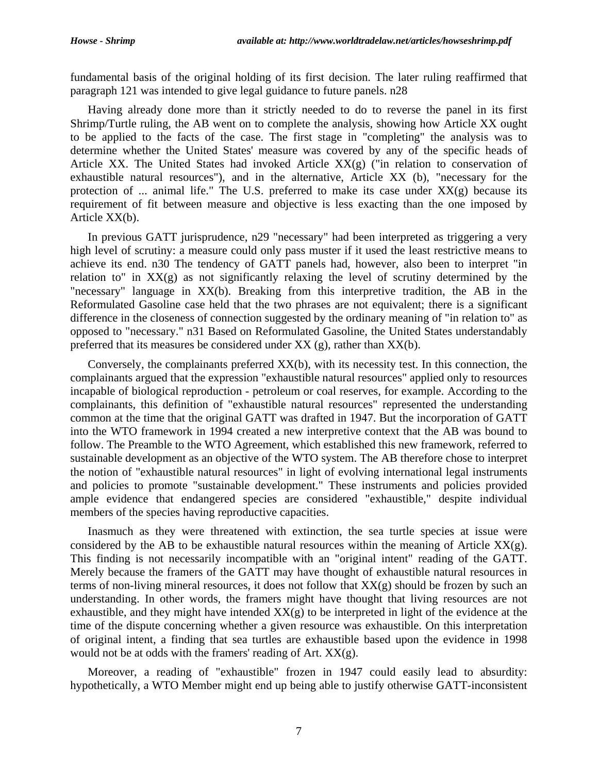fundamental basis of the original holding of its first decision. The later ruling reaffirmed that paragraph 121 was intended to give legal guidance to future panels. n28

Having already done more than it strictly needed to do to reverse the panel in its first Shrimp/Turtle ruling, the AB went on to complete the analysis, showing how Article XX ought to be applied to the facts of the case. The first stage in "completing" the analysis was to determine whether the United States' measure was covered by any of the specific heads of Article XX. The United States had invoked Article XX(g) ("in relation to conservation of exhaustible natural resources"), and in the alternative, Article XX (b), "necessary for the protection of ... animal life." The U.S. preferred to make its case under  $XX(g)$  because its requirement of fit between measure and objective is less exacting than the one imposed by Article XX(b).

In previous GATT jurisprudence, n29 "necessary" had been interpreted as triggering a very high level of scrutiny: a measure could only pass muster if it used the least restrictive means to achieve its end. n30 The tendency of GATT panels had, however, also been to interpret "in relation to" in  $XX(g)$  as not significantly relaxing the level of scrutiny determined by the "necessary" language in XX(b). Breaking from this interpretive tradition, the AB in the Reformulated Gasoline case held that the two phrases are not equivalent; there is a significant difference in the closeness of connection suggested by the ordinary meaning of "in relation to" as opposed to "necessary." n31 Based on Reformulated Gasoline, the United States understandably preferred that its measures be considered under  $XX$  (g), rather than  $XX(b)$ .

Conversely, the complainants preferred XX(b), with its necessity test. In this connection, the complainants argued that the expression "exhaustible natural resources" applied only to resources incapable of biological reproduction - petroleum or coal reserves, for example. According to the complainants, this definition of "exhaustible natural resources" represented the understanding common at the time that the original GATT was drafted in 1947. But the incorporation of GATT into the WTO framework in 1994 created a new interpretive context that the AB was bound to follow. The Preamble to the WTO Agreement, which established this new framework, referred to sustainable development as an objective of the WTO system. The AB therefore chose to interpret the notion of "exhaustible natural resources" in light of evolving international legal instruments and policies to promote "sustainable development." These instruments and policies provided ample evidence that endangered species are considered "exhaustible," despite individual members of the species having reproductive capacities.

Inasmuch as they were threatened with extinction, the sea turtle species at issue were considered by the AB to be exhaustible natural resources within the meaning of Article  $XX(g)$ . This finding is not necessarily incompatible with an "original intent" reading of the GATT. Merely because the framers of the GATT may have thought of exhaustible natural resources in terms of non-living mineral resources, it does not follow that  $XX(g)$  should be frozen by such an understanding. In other words, the framers might have thought that living resources are not exhaustible, and they might have intended  $XX(g)$  to be interpreted in light of the evidence at the time of the dispute concerning whether a given resource was exhaustible. On this interpretation of original intent, a finding that sea turtles are exhaustible based upon the evidence in 1998 would not be at odds with the framers' reading of Art. XX(g).

Moreover, a reading of "exhaustible" frozen in 1947 could easily lead to absurdity: hypothetically, a WTO Member might end up being able to justify otherwise GATT-inconsistent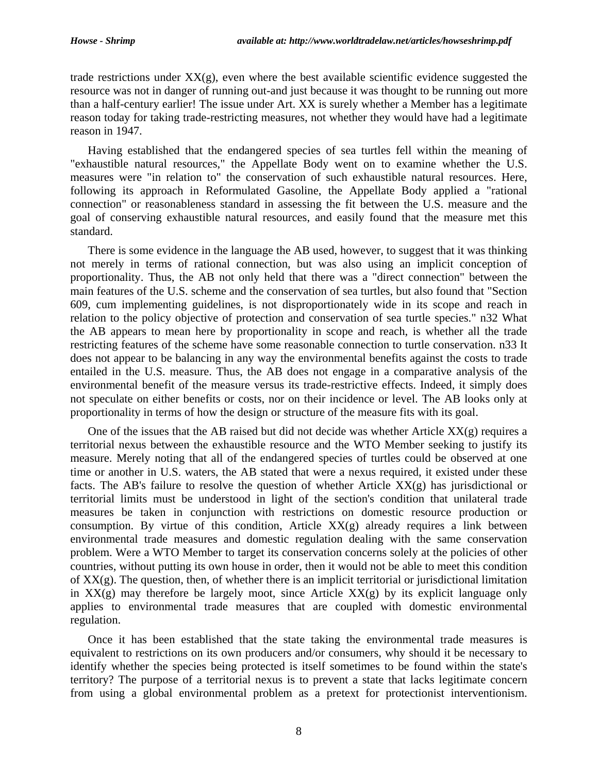trade restrictions under  $XX(g)$ , even where the best available scientific evidence suggested the resource was not in danger of running out-and just because it was thought to be running out more than a half-century earlier! The issue under Art. XX is surely whether a Member has a legitimate reason today for taking trade-restricting measures, not whether they would have had a legitimate reason in 1947.

Having established that the endangered species of sea turtles fell within the meaning of "exhaustible natural resources," the Appellate Body went on to examine whether the U.S. measures were "in relation to" the conservation of such exhaustible natural resources. Here, following its approach in Reformulated Gasoline, the Appellate Body applied a "rational connection" or reasonableness standard in assessing the fit between the U.S. measure and the goal of conserving exhaustible natural resources, and easily found that the measure met this standard.

There is some evidence in the language the AB used, however, to suggest that it was thinking not merely in terms of rational connection, but was also using an implicit conception of proportionality. Thus, the AB not only held that there was a "direct connection" between the main features of the U.S. scheme and the conservation of sea turtles, but also found that "Section 609, cum implementing guidelines, is not disproportionately wide in its scope and reach in relation to the policy objective of protection and conservation of sea turtle species." n32 What the AB appears to mean here by proportionality in scope and reach, is whether all the trade restricting features of the scheme have some reasonable connection to turtle conservation. n33 It does not appear to be balancing in any way the environmental benefits against the costs to trade entailed in the U.S. measure. Thus, the AB does not engage in a comparative analysis of the environmental benefit of the measure versus its trade-restrictive effects. Indeed, it simply does not speculate on either benefits or costs, nor on their incidence or level. The AB looks only at proportionality in terms of how the design or structure of the measure fits with its goal.

One of the issues that the AB raised but did not decide was whether Article  $XX(g)$  requires a territorial nexus between the exhaustible resource and the WTO Member seeking to justify its measure. Merely noting that all of the endangered species of turtles could be observed at one time or another in U.S. waters, the AB stated that were a nexus required, it existed under these facts. The AB's failure to resolve the question of whether Article  $XX(g)$  has jurisdictional or territorial limits must be understood in light of the section's condition that unilateral trade measures be taken in conjunction with restrictions on domestic resource production or consumption. By virtue of this condition, Article  $XX(g)$  already requires a link between environmental trade measures and domestic regulation dealing with the same conservation problem. Were a WTO Member to target its conservation concerns solely at the policies of other countries, without putting its own house in order, then it would not be able to meet this condition of XX(g). The question, then, of whether there is an implicit territorial or jurisdictional limitation in  $XX(g)$  may therefore be largely moot, since Article  $XX(g)$  by its explicit language only applies to environmental trade measures that are coupled with domestic environmental regulation.

Once it has been established that the state taking the environmental trade measures is equivalent to restrictions on its own producers and/or consumers, why should it be necessary to identify whether the species being protected is itself sometimes to be found within the state's territory? The purpose of a territorial nexus is to prevent a state that lacks legitimate concern from using a global environmental problem as a pretext for protectionist interventionism.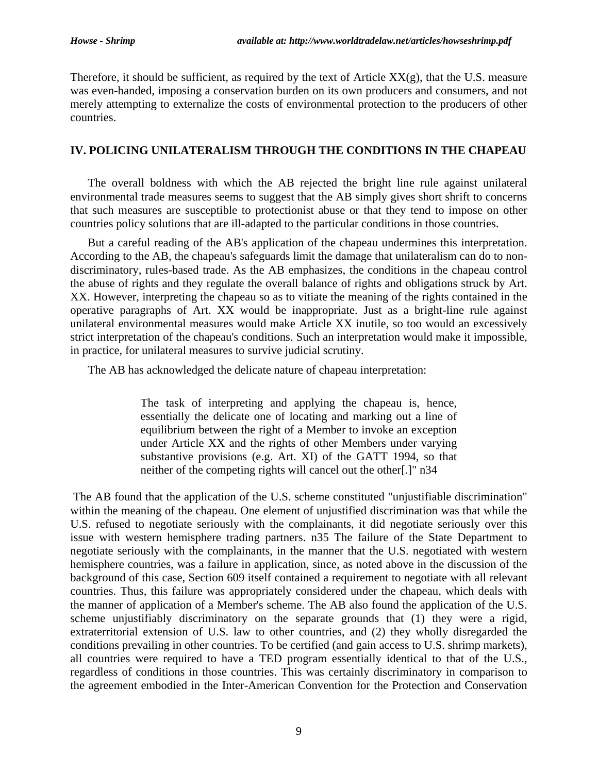Therefore, it should be sufficient, as required by the text of Article  $XX(g)$ , that the U.S. measure was even-handed, imposing a conservation burden on its own producers and consumers, and not merely attempting to externalize the costs of environmental protection to the producers of other countries.

# <span id="page-8-0"></span>**IV. POLICING UNILATERALISM THROUGH THE CONDITIONS IN THE CHAPEAU**

The overall boldness with which the AB rejected the bright line rule against unilateral environmental trade measures seems to suggest that the AB simply gives short shrift to concerns that such measures are susceptible to protectionist abuse or that they tend to impose on other countries policy solutions that are ill-adapted to the particular conditions in those countries.

But a careful reading of the AB's application of the chapeau undermines this interpretation. According to the AB, the chapeau's safeguards limit the damage that unilateralism can do to nondiscriminatory, rules-based trade. As the AB emphasizes, the conditions in the chapeau control the abuse of rights and they regulate the overall balance of rights and obligations struck by Art. XX. However, interpreting the chapeau so as to vitiate the meaning of the rights contained in the operative paragraphs of Art. XX would be inappropriate. Just as a bright-line rule against unilateral environmental measures would make Article XX inutile, so too would an excessively strict interpretation of the chapeau's conditions. Such an interpretation would make it impossible, in practice, for unilateral measures to survive judicial scrutiny.

The AB has acknowledged the delicate nature of chapeau interpretation:

The task of interpreting and applying the chapeau is, hence, essentially the delicate one of locating and marking out a line of equilibrium between the right of a Member to invoke an exception under Article XX and the rights of other Members under varying substantive provisions (e.g. Art. XI) of the GATT 1994, so that neither of the competing rights will cancel out the other[.]" n34

 The AB found that the application of the U.S. scheme constituted "unjustifiable discrimination" within the meaning of the chapeau. One element of unjustified discrimination was that while the U.S. refused to negotiate seriously with the complainants, it did negotiate seriously over this issue with western hemisphere trading partners. n35 The failure of the State Department to negotiate seriously with the complainants, in the manner that the U.S. negotiated with western hemisphere countries, was a failure in application, since, as noted above in the discussion of the background of this case, Section 609 itself contained a requirement to negotiate with all relevant countries. Thus, this failure was appropriately considered under the chapeau, which deals with the manner of application of a Member's scheme. The AB also found the application of the U.S. scheme unjustifiably discriminatory on the separate grounds that (1) they were a rigid, extraterritorial extension of U.S. law to other countries, and (2) they wholly disregarded the conditions prevailing in other countries. To be certified (and gain access to U.S. shrimp markets), all countries were required to have a TED program essentially identical to that of the U.S., regardless of conditions in those countries. This was certainly discriminatory in comparison to the agreement embodied in the Inter-American Convention for the Protection and Conservation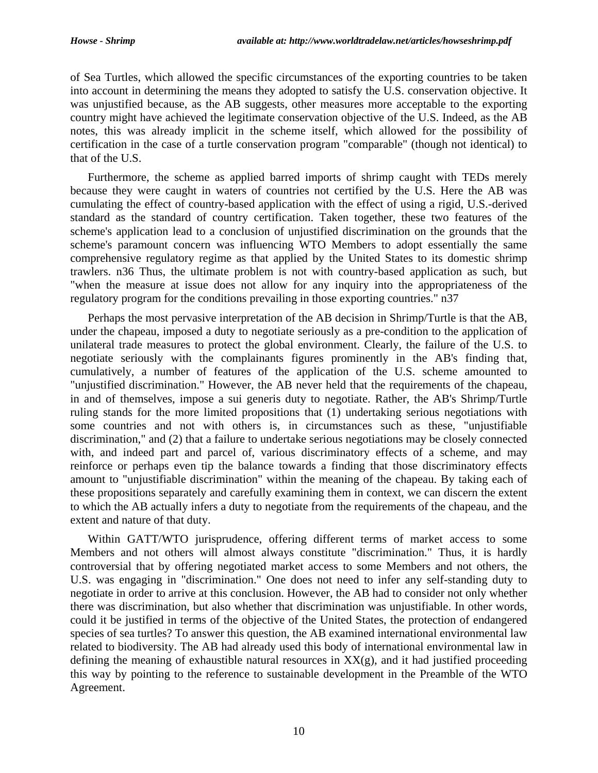of Sea Turtles, which allowed the specific circumstances of the exporting countries to be taken into account in determining the means they adopted to satisfy the U.S. conservation objective. It was unjustified because, as the AB suggests, other measures more acceptable to the exporting country might have achieved the legitimate conservation objective of the U.S. Indeed, as the AB notes, this was already implicit in the scheme itself, which allowed for the possibility of certification in the case of a turtle conservation program "comparable" (though not identical) to that of the U.S.

Furthermore, the scheme as applied barred imports of shrimp caught with TEDs merely because they were caught in waters of countries not certified by the U.S. Here the AB was cumulating the effect of country-based application with the effect of using a rigid, U.S.-derived standard as the standard of country certification. Taken together, these two features of the scheme's application lead to a conclusion of unjustified discrimination on the grounds that the scheme's paramount concern was influencing WTO Members to adopt essentially the same comprehensive regulatory regime as that applied by the United States to its domestic shrimp trawlers. n36 Thus, the ultimate problem is not with country-based application as such, but "when the measure at issue does not allow for any inquiry into the appropriateness of the regulatory program for the conditions prevailing in those exporting countries." n37

Perhaps the most pervasive interpretation of the AB decision in Shrimp/Turtle is that the AB, under the chapeau, imposed a duty to negotiate seriously as a pre-condition to the application of unilateral trade measures to protect the global environment. Clearly, the failure of the U.S. to negotiate seriously with the complainants figures prominently in the AB's finding that, cumulatively, a number of features of the application of the U.S. scheme amounted to "unjustified discrimination." However, the AB never held that the requirements of the chapeau, in and of themselves, impose a sui generis duty to negotiate. Rather, the AB's Shrimp/Turtle ruling stands for the more limited propositions that (1) undertaking serious negotiations with some countries and not with others is, in circumstances such as these, "unjustifiable discrimination," and (2) that a failure to undertake serious negotiations may be closely connected with, and indeed part and parcel of, various discriminatory effects of a scheme, and may reinforce or perhaps even tip the balance towards a finding that those discriminatory effects amount to "unjustifiable discrimination" within the meaning of the chapeau. By taking each of these propositions separately and carefully examining them in context, we can discern the extent to which the AB actually infers a duty to negotiate from the requirements of the chapeau, and the extent and nature of that duty.

Within GATT/WTO jurisprudence, offering different terms of market access to some Members and not others will almost always constitute "discrimination." Thus, it is hardly controversial that by offering negotiated market access to some Members and not others, the U.S. was engaging in "discrimination." One does not need to infer any self-standing duty to negotiate in order to arrive at this conclusion. However, the AB had to consider not only whether there was discrimination, but also whether that discrimination was unjustifiable. In other words, could it be justified in terms of the objective of the United States, the protection of endangered species of sea turtles? To answer this question, the AB examined international environmental law related to biodiversity. The AB had already used this body of international environmental law in defining the meaning of exhaustible natural resources in  $XX(g)$ , and it had justified proceeding this way by pointing to the reference to sustainable development in the Preamble of the WTO Agreement.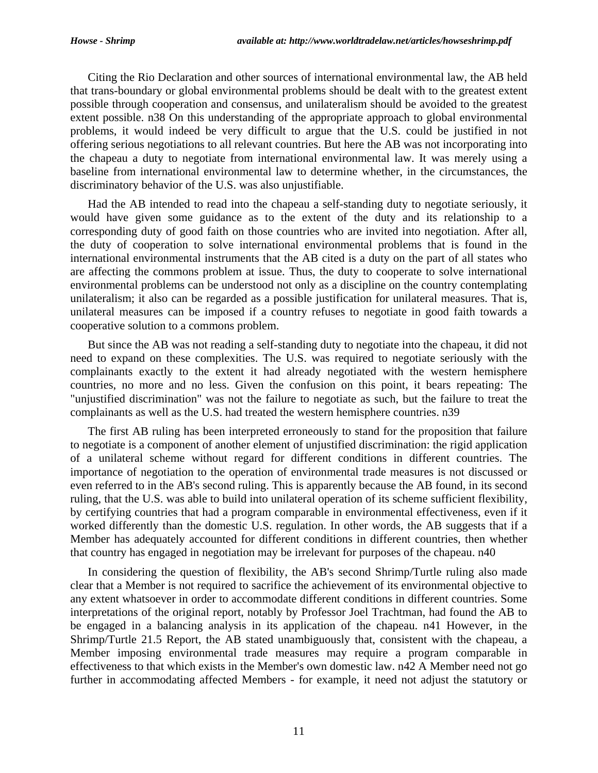Citing the Rio Declaration and other sources of international environmental law, the AB held that trans-boundary or global environmental problems should be dealt with to the greatest extent possible through cooperation and consensus, and unilateralism should be avoided to the greatest extent possible. n38 On this understanding of the appropriate approach to global environmental problems, it would indeed be very difficult to argue that the U.S. could be justified in not offering serious negotiations to all relevant countries. But here the AB was not incorporating into the chapeau a duty to negotiate from international environmental law. It was merely using a baseline from international environmental law to determine whether, in the circumstances, the discriminatory behavior of the U.S. was also unjustifiable.

Had the AB intended to read into the chapeau a self-standing duty to negotiate seriously, it would have given some guidance as to the extent of the duty and its relationship to a corresponding duty of good faith on those countries who are invited into negotiation. After all, the duty of cooperation to solve international environmental problems that is found in the international environmental instruments that the AB cited is a duty on the part of all states who are affecting the commons problem at issue. Thus, the duty to cooperate to solve international environmental problems can be understood not only as a discipline on the country contemplating unilateralism; it also can be regarded as a possible justification for unilateral measures. That is, unilateral measures can be imposed if a country refuses to negotiate in good faith towards a cooperative solution to a commons problem.

But since the AB was not reading a self-standing duty to negotiate into the chapeau, it did not need to expand on these complexities. The U.S. was required to negotiate seriously with the complainants exactly to the extent it had already negotiated with the western hemisphere countries, no more and no less. Given the confusion on this point, it bears repeating: The "unjustified discrimination" was not the failure to negotiate as such, but the failure to treat the complainants as well as the U.S. had treated the western hemisphere countries. n39

The first AB ruling has been interpreted erroneously to stand for the proposition that failure to negotiate is a component of another element of unjustified discrimination: the rigid application of a unilateral scheme without regard for different conditions in different countries. The importance of negotiation to the operation of environmental trade measures is not discussed or even referred to in the AB's second ruling. This is apparently because the AB found, in its second ruling, that the U.S. was able to build into unilateral operation of its scheme sufficient flexibility, by certifying countries that had a program comparable in environmental effectiveness, even if it worked differently than the domestic U.S. regulation. In other words, the AB suggests that if a Member has adequately accounted for different conditions in different countries, then whether that country has engaged in negotiation may be irrelevant for purposes of the chapeau. n40

In considering the question of flexibility, the AB's second Shrimp/Turtle ruling also made clear that a Member is not required to sacrifice the achievement of its environmental objective to any extent whatsoever in order to accommodate different conditions in different countries. Some interpretations of the original report, notably by Professor Joel Trachtman, had found the AB to be engaged in a balancing analysis in its application of the chapeau. n41 However, in the Shrimp/Turtle 21.5 Report, the AB stated unambiguously that, consistent with the chapeau, a Member imposing environmental trade measures may require a program comparable in effectiveness to that which exists in the Member's own domestic law. n42 A Member need not go further in accommodating affected Members - for example, it need not adjust the statutory or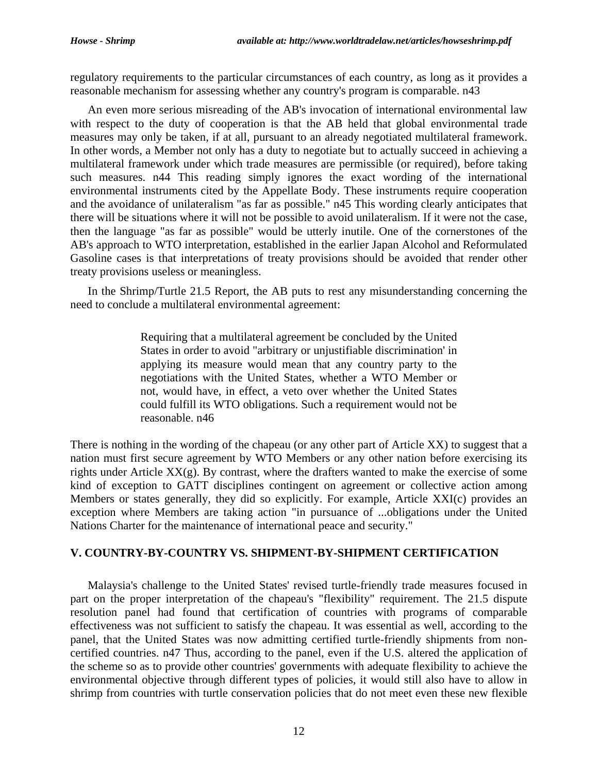regulatory requirements to the particular circumstances of each country, as long as it provides a reasonable mechanism for assessing whether any country's program is comparable. n43

An even more serious misreading of the AB's invocation of international environmental law with respect to the duty of cooperation is that the AB held that global environmental trade measures may only be taken, if at all, pursuant to an already negotiated multilateral framework. In other words, a Member not only has a duty to negotiate but to actually succeed in achieving a multilateral framework under which trade measures are permissible (or required), before taking such measures. n44 This reading simply ignores the exact wording of the international environmental instruments cited by the Appellate Body. These instruments require cooperation and the avoidance of unilateralism "as far as possible." n45 This wording clearly anticipates that there will be situations where it will not be possible to avoid unilateralism. If it were not the case, then the language "as far as possible" would be utterly inutile. One of the cornerstones of the AB's approach to WTO interpretation, established in the earlier Japan Alcohol and Reformulated Gasoline cases is that interpretations of treaty provisions should be avoided that render other treaty provisions useless or meaningless.

In the Shrimp/Turtle 21.5 Report, the AB puts to rest any misunderstanding concerning the need to conclude a multilateral environmental agreement:

> Requiring that a multilateral agreement be concluded by the United States in order to avoid "arbitrary or unjustifiable discrimination' in applying its measure would mean that any country party to the negotiations with the United States, whether a WTO Member or not, would have, in effect, a veto over whether the United States could fulfill its WTO obligations. Such a requirement would not be reasonable. n46

There is nothing in the wording of the chapeau (or any other part of Article XX) to suggest that a nation must first secure agreement by WTO Members or any other nation before exercising its rights under Article  $XX(g)$ . By contrast, where the drafters wanted to make the exercise of some kind of exception to GATT disciplines contingent on agreement or collective action among Members or states generally, they did so explicitly. For example, Article XXI(c) provides an exception where Members are taking action "in pursuance of ...obligations under the United Nations Charter for the maintenance of international peace and security."

## <span id="page-11-0"></span>**V. COUNTRY-BY-COUNTRY VS. SHIPMENT-BY-SHIPMENT CERTIFICATION**

Malaysia's challenge to the United States' revised turtle-friendly trade measures focused in part on the proper interpretation of the chapeau's "flexibility" requirement. The 21.5 dispute resolution panel had found that certification of countries with programs of comparable effectiveness was not sufficient to satisfy the chapeau. It was essential as well, according to the panel, that the United States was now admitting certified turtle-friendly shipments from noncertified countries. n47 Thus, according to the panel, even if the U.S. altered the application of the scheme so as to provide other countries' governments with adequate flexibility to achieve the environmental objective through different types of policies, it would still also have to allow in shrimp from countries with turtle conservation policies that do not meet even these new flexible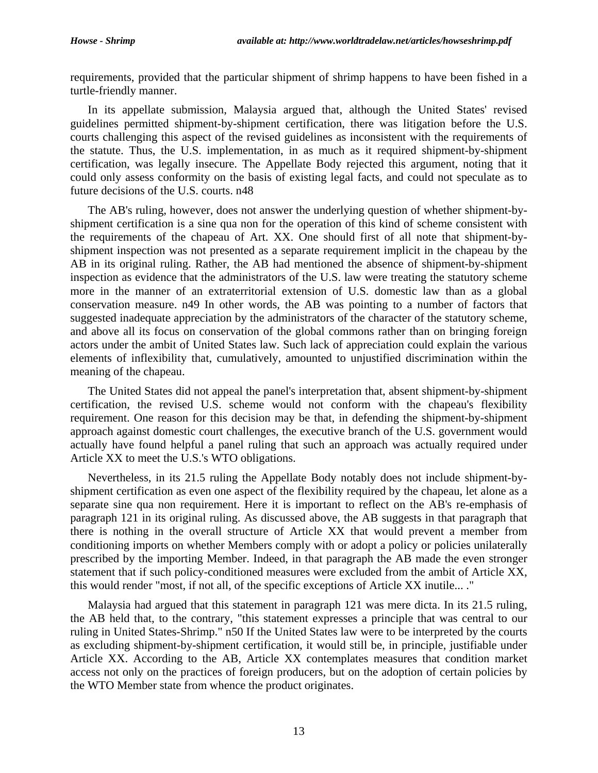requirements, provided that the particular shipment of shrimp happens to have been fished in a turtle-friendly manner.

In its appellate submission, Malaysia argued that, although the United States' revised guidelines permitted shipment-by-shipment certification, there was litigation before the U.S. courts challenging this aspect of the revised guidelines as inconsistent with the requirements of the statute. Thus, the U.S. implementation, in as much as it required shipment-by-shipment certification, was legally insecure. The Appellate Body rejected this argument, noting that it could only assess conformity on the basis of existing legal facts, and could not speculate as to future decisions of the U.S. courts. n48

The AB's ruling, however, does not answer the underlying question of whether shipment-byshipment certification is a sine qua non for the operation of this kind of scheme consistent with the requirements of the chapeau of Art. XX. One should first of all note that shipment-byshipment inspection was not presented as a separate requirement implicit in the chapeau by the AB in its original ruling. Rather, the AB had mentioned the absence of shipment-by-shipment inspection as evidence that the administrators of the U.S. law were treating the statutory scheme more in the manner of an extraterritorial extension of U.S. domestic law than as a global conservation measure. n49 In other words, the AB was pointing to a number of factors that suggested inadequate appreciation by the administrators of the character of the statutory scheme, and above all its focus on conservation of the global commons rather than on bringing foreign actors under the ambit of United States law. Such lack of appreciation could explain the various elements of inflexibility that, cumulatively, amounted to unjustified discrimination within the meaning of the chapeau.

The United States did not appeal the panel's interpretation that, absent shipment-by-shipment certification, the revised U.S. scheme would not conform with the chapeau's flexibility requirement. One reason for this decision may be that, in defending the shipment-by-shipment approach against domestic court challenges, the executive branch of the U.S. government would actually have found helpful a panel ruling that such an approach was actually required under Article XX to meet the U.S.'s WTO obligations.

Nevertheless, in its 21.5 ruling the Appellate Body notably does not include shipment-byshipment certification as even one aspect of the flexibility required by the chapeau, let alone as a separate sine qua non requirement. Here it is important to reflect on the AB's re-emphasis of paragraph 121 in its original ruling. As discussed above, the AB suggests in that paragraph that there is nothing in the overall structure of Article XX that would prevent a member from conditioning imports on whether Members comply with or adopt a policy or policies unilaterally prescribed by the importing Member. Indeed, in that paragraph the AB made the even stronger statement that if such policy-conditioned measures were excluded from the ambit of Article XX, this would render "most, if not all, of the specific exceptions of Article XX inutile... ."

Malaysia had argued that this statement in paragraph 121 was mere dicta. In its 21.5 ruling, the AB held that, to the contrary, "this statement expresses a principle that was central to our ruling in United States-Shrimp." n50 If the United States law were to be interpreted by the courts as excluding shipment-by-shipment certification, it would still be, in principle, justifiable under Article XX. According to the AB, Article XX contemplates measures that condition market access not only on the practices of foreign producers, but on the adoption of certain policies by the WTO Member state from whence the product originates.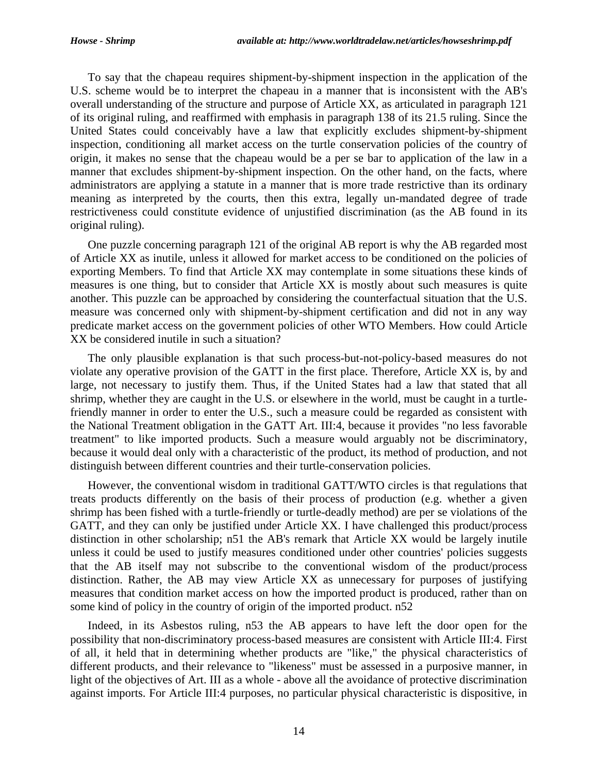To say that the chapeau requires shipment-by-shipment inspection in the application of the U.S. scheme would be to interpret the chapeau in a manner that is inconsistent with the AB's overall understanding of the structure and purpose of Article XX, as articulated in paragraph 121 of its original ruling, and reaffirmed with emphasis in paragraph 138 of its 21.5 ruling. Since the United States could conceivably have a law that explicitly excludes shipment-by-shipment inspection, conditioning all market access on the turtle conservation policies of the country of origin, it makes no sense that the chapeau would be a per se bar to application of the law in a manner that excludes shipment-by-shipment inspection. On the other hand, on the facts, where administrators are applying a statute in a manner that is more trade restrictive than its ordinary meaning as interpreted by the courts, then this extra, legally un-mandated degree of trade restrictiveness could constitute evidence of unjustified discrimination (as the AB found in its original ruling).

One puzzle concerning paragraph 121 of the original AB report is why the AB regarded most of Article XX as inutile, unless it allowed for market access to be conditioned on the policies of exporting Members. To find that Article XX may contemplate in some situations these kinds of measures is one thing, but to consider that Article XX is mostly about such measures is quite another. This puzzle can be approached by considering the counterfactual situation that the U.S. measure was concerned only with shipment-by-shipment certification and did not in any way predicate market access on the government policies of other WTO Members. How could Article XX be considered inutile in such a situation?

The only plausible explanation is that such process-but-not-policy-based measures do not violate any operative provision of the GATT in the first place. Therefore, Article XX is, by and large, not necessary to justify them. Thus, if the United States had a law that stated that all shrimp, whether they are caught in the U.S. or elsewhere in the world, must be caught in a turtlefriendly manner in order to enter the U.S., such a measure could be regarded as consistent with the National Treatment obligation in the GATT Art. III:4, because it provides "no less favorable treatment" to like imported products. Such a measure would arguably not be discriminatory, because it would deal only with a characteristic of the product, its method of production, and not distinguish between different countries and their turtle-conservation policies.

However, the conventional wisdom in traditional GATT/WTO circles is that regulations that treats products differently on the basis of their process of production (e.g. whether a given shrimp has been fished with a turtle-friendly or turtle-deadly method) are per se violations of the GATT, and they can only be justified under Article XX. I have challenged this product/process distinction in other scholarship; n51 the AB's remark that Article XX would be largely inutile unless it could be used to justify measures conditioned under other countries' policies suggests that the AB itself may not subscribe to the conventional wisdom of the product/process distinction. Rather, the AB may view Article XX as unnecessary for purposes of justifying measures that condition market access on how the imported product is produced, rather than on some kind of policy in the country of origin of the imported product. n52

Indeed, in its Asbestos ruling, n53 the AB appears to have left the door open for the possibility that non-discriminatory process-based measures are consistent with Article III:4. First of all, it held that in determining whether products are "like," the physical characteristics of different products, and their relevance to "likeness" must be assessed in a purposive manner, in light of the objectives of Art. III as a whole - above all the avoidance of protective discrimination against imports. For Article III:4 purposes, no particular physical characteristic is dispositive, in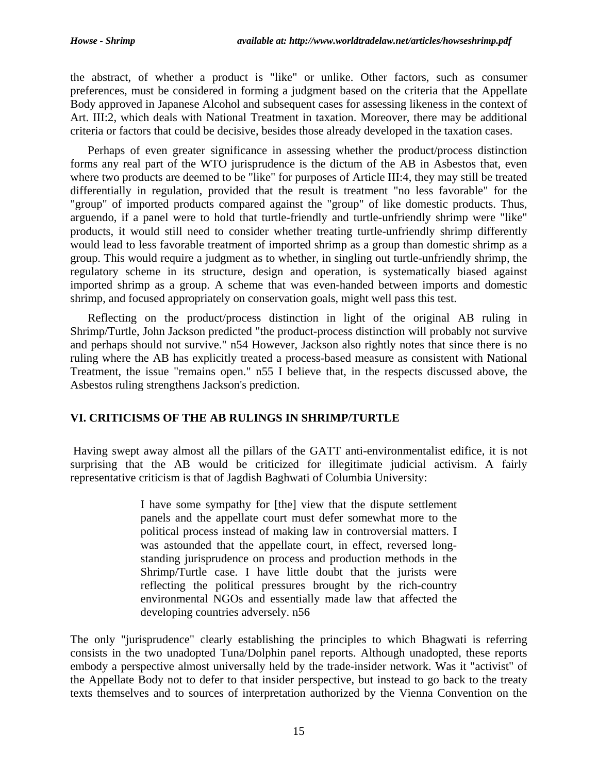the abstract, of whether a product is "like" or unlike. Other factors, such as consumer preferences, must be considered in forming a judgment based on the criteria that the Appellate Body approved in Japanese Alcohol and subsequent cases for assessing likeness in the context of Art. III:2, which deals with National Treatment in taxation. Moreover, there may be additional criteria or factors that could be decisive, besides those already developed in the taxation cases.

Perhaps of even greater significance in assessing whether the product/process distinction forms any real part of the WTO jurisprudence is the dictum of the AB in Asbestos that, even where two products are deemed to be "like" for purposes of Article III:4, they may still be treated differentially in regulation, provided that the result is treatment "no less favorable" for the "group" of imported products compared against the "group" of like domestic products. Thus, arguendo, if a panel were to hold that turtle-friendly and turtle-unfriendly shrimp were "like" products, it would still need to consider whether treating turtle-unfriendly shrimp differently would lead to less favorable treatment of imported shrimp as a group than domestic shrimp as a group. This would require a judgment as to whether, in singling out turtle-unfriendly shrimp, the regulatory scheme in its structure, design and operation, is systematically biased against imported shrimp as a group. A scheme that was even-handed between imports and domestic shrimp, and focused appropriately on conservation goals, might well pass this test.

Reflecting on the product/process distinction in light of the original AB ruling in Shrimp/Turtle, John Jackson predicted "the product-process distinction will probably not survive and perhaps should not survive." n54 However, Jackson also rightly notes that since there is no ruling where the AB has explicitly treated a process-based measure as consistent with National Treatment, the issue "remains open." n55 I believe that, in the respects discussed above, the Asbestos ruling strengthens Jackson's prediction.

# <span id="page-14-0"></span>**VI. CRITICISMS OF THE AB RULINGS IN SHRIMP/TURTLE**

 Having swept away almost all the pillars of the GATT anti-environmentalist edifice, it is not surprising that the AB would be criticized for illegitimate judicial activism. A fairly representative criticism is that of Jagdish Baghwati of Columbia University:

> I have some sympathy for [the] view that the dispute settlement panels and the appellate court must defer somewhat more to the political process instead of making law in controversial matters. I was astounded that the appellate court, in effect, reversed longstanding jurisprudence on process and production methods in the Shrimp/Turtle case. I have little doubt that the jurists were reflecting the political pressures brought by the rich-country environmental NGOs and essentially made law that affected the developing countries adversely. n56

The only "jurisprudence" clearly establishing the principles to which Bhagwati is referring consists in the two unadopted Tuna/Dolphin panel reports. Although unadopted, these reports embody a perspective almost universally held by the trade-insider network. Was it "activist" of the Appellate Body not to defer to that insider perspective, but instead to go back to the treaty texts themselves and to sources of interpretation authorized by the Vienna Convention on the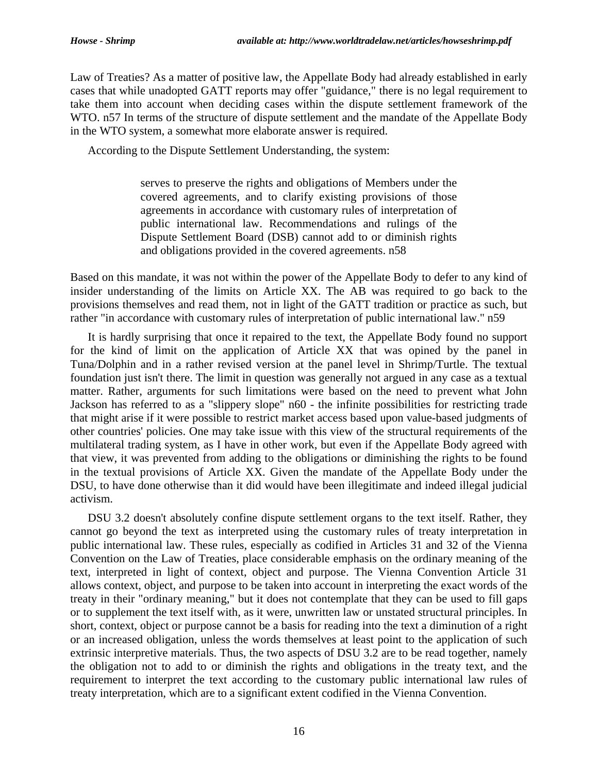Law of Treaties? As a matter of positive law, the Appellate Body had already established in early cases that while unadopted GATT reports may offer "guidance," there is no legal requirement to take them into account when deciding cases within the dispute settlement framework of the WTO. n57 In terms of the structure of dispute settlement and the mandate of the Appellate Body in the WTO system, a somewhat more elaborate answer is required.

According to the Dispute Settlement Understanding, the system:

serves to preserve the rights and obligations of Members under the covered agreements, and to clarify existing provisions of those agreements in accordance with customary rules of interpretation of public international law. Recommendations and rulings of the Dispute Settlement Board (DSB) cannot add to or diminish rights and obligations provided in the covered agreements. n58

Based on this mandate, it was not within the power of the Appellate Body to defer to any kind of insider understanding of the limits on Article XX. The AB was required to go back to the provisions themselves and read them, not in light of the GATT tradition or practice as such, but rather "in accordance with customary rules of interpretation of public international law." n59

It is hardly surprising that once it repaired to the text, the Appellate Body found no support for the kind of limit on the application of Article XX that was opined by the panel in Tuna/Dolphin and in a rather revised version at the panel level in Shrimp/Turtle. The textual foundation just isn't there. The limit in question was generally not argued in any case as a textual matter. Rather, arguments for such limitations were based on the need to prevent what John Jackson has referred to as a "slippery slope" n60 - the infinite possibilities for restricting trade that might arise if it were possible to restrict market access based upon value-based judgments of other countries' policies. One may take issue with this view of the structural requirements of the multilateral trading system, as I have in other work, but even if the Appellate Body agreed with that view, it was prevented from adding to the obligations or diminishing the rights to be found in the textual provisions of Article XX. Given the mandate of the Appellate Body under the DSU, to have done otherwise than it did would have been illegitimate and indeed illegal judicial activism.

DSU 3.2 doesn't absolutely confine dispute settlement organs to the text itself. Rather, they cannot go beyond the text as interpreted using the customary rules of treaty interpretation in public international law. These rules, especially as codified in Articles 31 and 32 of the Vienna Convention on the Law of Treaties, place considerable emphasis on the ordinary meaning of the text, interpreted in light of context, object and purpose. The Vienna Convention Article 31 allows context, object, and purpose to be taken into account in interpreting the exact words of the treaty in their "ordinary meaning," but it does not contemplate that they can be used to fill gaps or to supplement the text itself with, as it were, unwritten law or unstated structural principles. In short, context, object or purpose cannot be a basis for reading into the text a diminution of a right or an increased obligation, unless the words themselves at least point to the application of such extrinsic interpretive materials. Thus, the two aspects of DSU 3.2 are to be read together, namely the obligation not to add to or diminish the rights and obligations in the treaty text, and the requirement to interpret the text according to the customary public international law rules of treaty interpretation, which are to a significant extent codified in the Vienna Convention.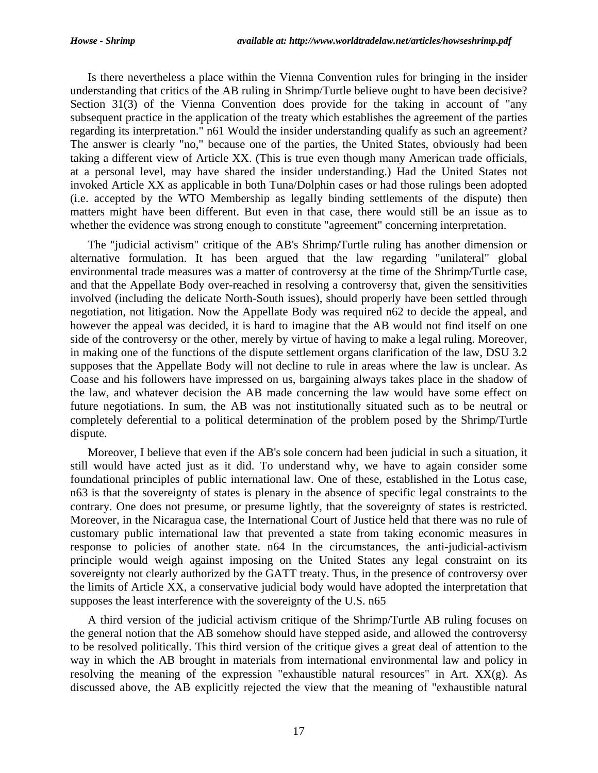Is there nevertheless a place within the Vienna Convention rules for bringing in the insider understanding that critics of the AB ruling in Shrimp/Turtle believe ought to have been decisive? Section 31(3) of the Vienna Convention does provide for the taking in account of "any subsequent practice in the application of the treaty which establishes the agreement of the parties regarding its interpretation." n61 Would the insider understanding qualify as such an agreement? The answer is clearly "no," because one of the parties, the United States, obviously had been taking a different view of Article XX. (This is true even though many American trade officials, at a personal level, may have shared the insider understanding.) Had the United States not invoked Article XX as applicable in both Tuna/Dolphin cases or had those rulings been adopted (i.e. accepted by the WTO Membership as legally binding settlements of the dispute) then matters might have been different. But even in that case, there would still be an issue as to whether the evidence was strong enough to constitute "agreement" concerning interpretation.

The "judicial activism" critique of the AB's Shrimp/Turtle ruling has another dimension or alternative formulation. It has been argued that the law regarding "unilateral" global environmental trade measures was a matter of controversy at the time of the Shrimp/Turtle case, and that the Appellate Body over-reached in resolving a controversy that, given the sensitivities involved (including the delicate North-South issues), should properly have been settled through negotiation, not litigation. Now the Appellate Body was required n62 to decide the appeal, and however the appeal was decided, it is hard to imagine that the AB would not find itself on one side of the controversy or the other, merely by virtue of having to make a legal ruling. Moreover, in making one of the functions of the dispute settlement organs clarification of the law, DSU 3.2 supposes that the Appellate Body will not decline to rule in areas where the law is unclear. As Coase and his followers have impressed on us, bargaining always takes place in the shadow of the law, and whatever decision the AB made concerning the law would have some effect on future negotiations. In sum, the AB was not institutionally situated such as to be neutral or completely deferential to a political determination of the problem posed by the Shrimp/Turtle dispute.

Moreover, I believe that even if the AB's sole concern had been judicial in such a situation, it still would have acted just as it did. To understand why, we have to again consider some foundational principles of public international law. One of these, established in the Lotus case, n63 is that the sovereignty of states is plenary in the absence of specific legal constraints to the contrary. One does not presume, or presume lightly, that the sovereignty of states is restricted. Moreover, in the Nicaragua case, the International Court of Justice held that there was no rule of customary public international law that prevented a state from taking economic measures in response to policies of another state. n64 In the circumstances, the anti-judicial-activism principle would weigh against imposing on the United States any legal constraint on its sovereignty not clearly authorized by the GATT treaty. Thus, in the presence of controversy over the limits of Article XX, a conservative judicial body would have adopted the interpretation that supposes the least interference with the sovereignty of the U.S. n65

A third version of the judicial activism critique of the Shrimp/Turtle AB ruling focuses on the general notion that the AB somehow should have stepped aside, and allowed the controversy to be resolved politically. This third version of the critique gives a great deal of attention to the way in which the AB brought in materials from international environmental law and policy in resolving the meaning of the expression "exhaustible natural resources" in Art.  $XX(g)$ . As discussed above, the AB explicitly rejected the view that the meaning of "exhaustible natural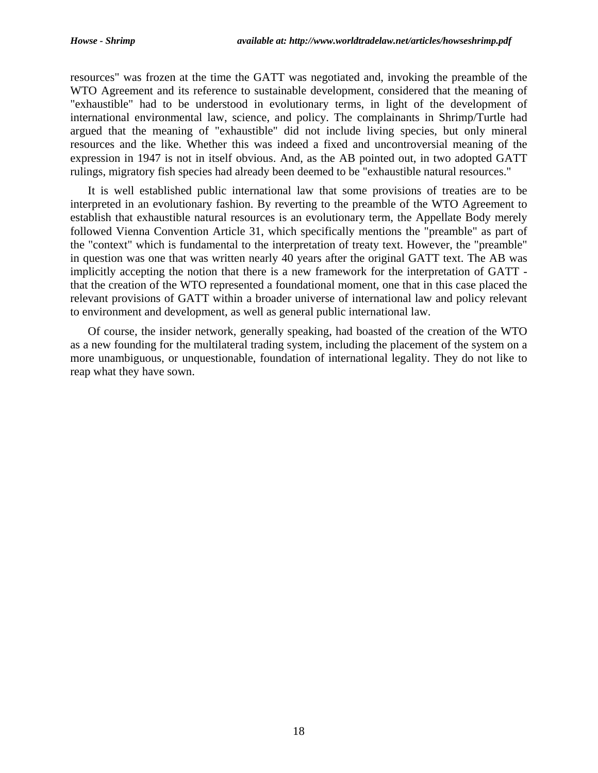resources" was frozen at the time the GATT was negotiated and, invoking the preamble of the WTO Agreement and its reference to sustainable development, considered that the meaning of "exhaustible" had to be understood in evolutionary terms, in light of the development of international environmental law, science, and policy. The complainants in Shrimp/Turtle had argued that the meaning of "exhaustible" did not include living species, but only mineral resources and the like. Whether this was indeed a fixed and uncontroversial meaning of the expression in 1947 is not in itself obvious. And, as the AB pointed out, in two adopted GATT rulings, migratory fish species had already been deemed to be "exhaustible natural resources."

It is well established public international law that some provisions of treaties are to be interpreted in an evolutionary fashion. By reverting to the preamble of the WTO Agreement to establish that exhaustible natural resources is an evolutionary term, the Appellate Body merely followed Vienna Convention Article 31, which specifically mentions the "preamble" as part of the "context" which is fundamental to the interpretation of treaty text. However, the "preamble" in question was one that was written nearly 40 years after the original GATT text. The AB was implicitly accepting the notion that there is a new framework for the interpretation of GATT that the creation of the WTO represented a foundational moment, one that in this case placed the relevant provisions of GATT within a broader universe of international law and policy relevant to environment and development, as well as general public international law.

Of course, the insider network, generally speaking, had boasted of the creation of the WTO as a new founding for the multilateral trading system, including the placement of the system on a more unambiguous, or unquestionable, foundation of international legality. They do not like to reap what they have sown.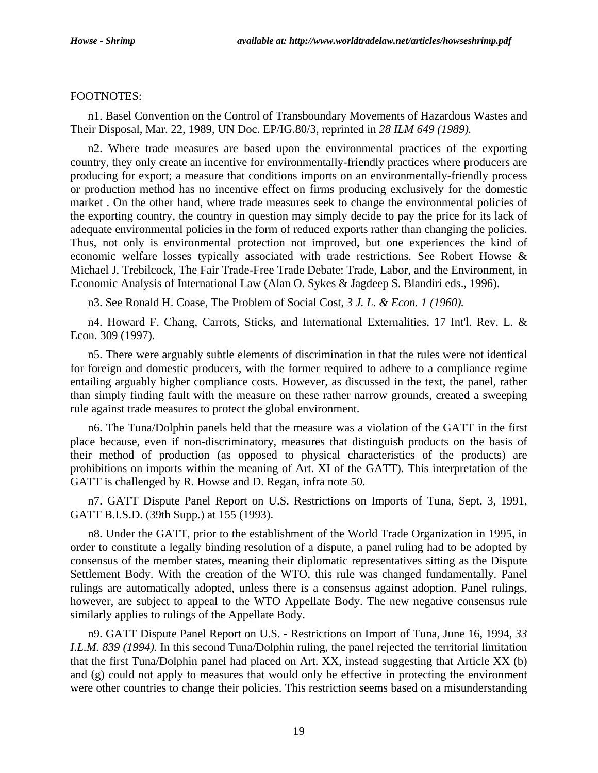## FOOTNOTES:

n1. Basel Convention on the Control of Transboundary Movements of Hazardous Wastes and Their Disposal, Mar. 22, 1989, UN Doc. EP/IG.80/3, reprinted in *28 ILM 649 (1989).*

n2. Where trade measures are based upon the environmental practices of the exporting country, they only create an incentive for environmentally-friendly practices where producers are producing for export; a measure that conditions imports on an environmentally-friendly process or production method has no incentive effect on firms producing exclusively for the domestic market . On the other hand, where trade measures seek to change the environmental policies of the exporting country, the country in question may simply decide to pay the price for its lack of adequate environmental policies in the form of reduced exports rather than changing the policies. Thus, not only is environmental protection not improved, but one experiences the kind of economic welfare losses typically associated with trade restrictions. See Robert Howse & Michael J. Trebilcock, The Fair Trade-Free Trade Debate: Trade, Labor, and the Environment, in Economic Analysis of International Law (Alan O. Sykes & Jagdeep S. Blandiri eds., 1996).

n3. See Ronald H. Coase, The Problem of Social Cost, *3 J. L. & Econ. 1 (1960).*

n4. Howard F. Chang, Carrots, Sticks, and International Externalities, 17 Int'l. Rev. L. & Econ. 309 (1997).

n5. There were arguably subtle elements of discrimination in that the rules were not identical for foreign and domestic producers, with the former required to adhere to a compliance regime entailing arguably higher compliance costs. However, as discussed in the text, the panel, rather than simply finding fault with the measure on these rather narrow grounds, created a sweeping rule against trade measures to protect the global environment.

n6. The Tuna/Dolphin panels held that the measure was a violation of the GATT in the first place because, even if non-discriminatory, measures that distinguish products on the basis of their method of production (as opposed to physical characteristics of the products) are prohibitions on imports within the meaning of Art. XI of the GATT). This interpretation of the GATT is challenged by R. Howse and D. Regan, infra note 50.

n7. GATT Dispute Panel Report on U.S. Restrictions on Imports of Tuna, Sept. 3, 1991, GATT B.I.S.D. (39th Supp.) at 155 (1993).

n8. Under the GATT, prior to the establishment of the World Trade Organization in 1995, in order to constitute a legally binding resolution of a dispute, a panel ruling had to be adopted by consensus of the member states, meaning their diplomatic representatives sitting as the Dispute Settlement Body. With the creation of the WTO, this rule was changed fundamentally. Panel rulings are automatically adopted, unless there is a consensus against adoption. Panel rulings, however, are subject to appeal to the WTO Appellate Body. The new negative consensus rule similarly applies to rulings of the Appellate Body.

n9. GATT Dispute Panel Report on U.S. - Restrictions on Import of Tuna, June 16, 1994, *33 I.L.M. 839 (1994).* In this second Tuna/Dolphin ruling, the panel rejected the territorial limitation that the first Tuna/Dolphin panel had placed on Art. XX, instead suggesting that Article XX (b) and (g) could not apply to measures that would only be effective in protecting the environment were other countries to change their policies. This restriction seems based on a misunderstanding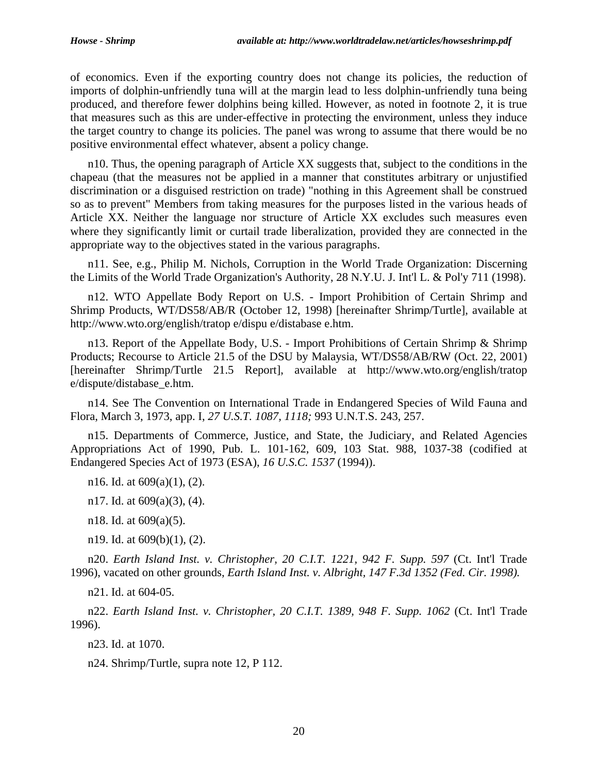of economics. Even if the exporting country does not change its policies, the reduction of imports of dolphin-unfriendly tuna will at the margin lead to less dolphin-unfriendly tuna being produced, and therefore fewer dolphins being killed. However, as noted in footnote 2, it is true that measures such as this are under-effective in protecting the environment, unless they induce the target country to change its policies. The panel was wrong to assume that there would be no positive environmental effect whatever, absent a policy change.

n10. Thus, the opening paragraph of Article XX suggests that, subject to the conditions in the chapeau (that the measures not be applied in a manner that constitutes arbitrary or unjustified discrimination or a disguised restriction on trade) "nothing in this Agreement shall be construed so as to prevent" Members from taking measures for the purposes listed in the various heads of Article XX. Neither the language nor structure of Article XX excludes such measures even where they significantly limit or curtail trade liberalization, provided they are connected in the appropriate way to the objectives stated in the various paragraphs.

n11. See, e.g., Philip M. Nichols, Corruption in the World Trade Organization: Discerning the Limits of the World Trade Organization's Authority, 28 N.Y.U. J. Int'l L. & Pol'y 711 (1998).

n12. WTO Appellate Body Report on U.S. - Import Prohibition of Certain Shrimp and Shrimp Products, WT/DS58/AB/R (October 12, 1998) [hereinafter Shrimp/Turtle], available at http://www.wto.org/english/tratop e/dispu e/distabase e.htm.

n13. Report of the Appellate Body, U.S. - Import Prohibitions of Certain Shrimp & Shrimp Products; Recourse to Article 21.5 of the DSU by Malaysia, WT/DS58/AB/RW (Oct. 22, 2001) [hereinafter Shrimp/Turtle 21.5 Report], available at http://www.wto.org/english/tratop e/dispute/distabase\_e.htm.

n14. See The Convention on International Trade in Endangered Species of Wild Fauna and Flora, March 3, 1973, app. I, *27 U.S.T. 1087, 1118;* 993 U.N.T.S. 243, 257.

n15. Departments of Commerce, Justice, and State, the Judiciary, and Related Agencies Appropriations Act of 1990, Pub. L. 101-162, 609, 103 Stat. 988, 1037-38 (codified at Endangered Species Act of 1973 (ESA), *16 U.S.C. 1537* (1994)).

n16. Id. at 609(a)(1), (2).

n17. Id. at 609(a)(3), (4).

n18. Id. at 609(a)(5).

n19. Id. at 609(b)(1), (2).

n20. *Earth Island Inst. v. Christopher, 20 C.I.T. 1221, 942 F. Supp. 597* (Ct. Int'l Trade 1996), vacated on other grounds, *Earth Island Inst. v. Albright, 147 F.3d 1352 (Fed. Cir. 1998).*

n21. Id. at 604-05.

n22. *Earth Island Inst. v. Christopher, 20 C.I.T. 1389, 948 F. Supp. 1062* (Ct. Int'l Trade 1996).

n23. Id. at 1070.

n24. Shrimp/Turtle, supra note 12, P 112.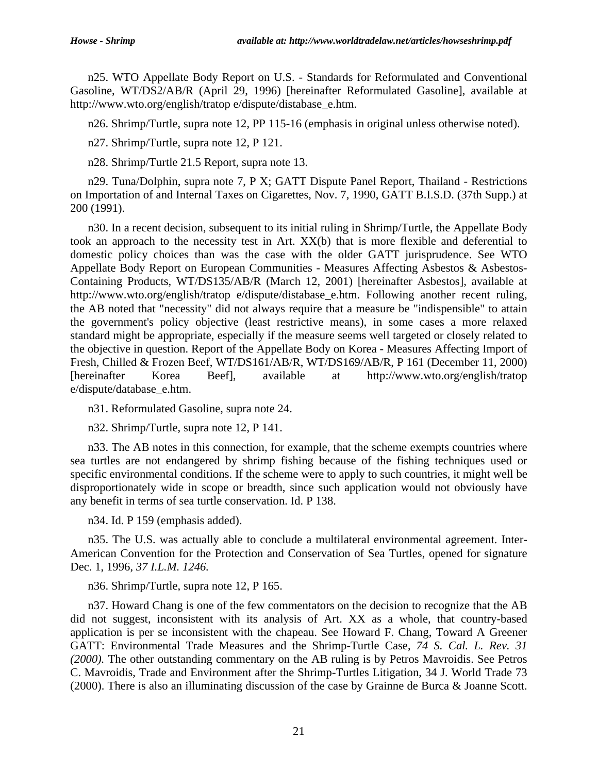n25. WTO Appellate Body Report on U.S. - Standards for Reformulated and Conventional Gasoline, WT/DS2/AB/R (April 29, 1996) [hereinafter Reformulated Gasoline], available at http://www.wto.org/english/tratop e/dispute/distabase\_e.htm.

n26. Shrimp/Turtle, supra note 12, PP 115-16 (emphasis in original unless otherwise noted).

n27. Shrimp/Turtle, supra note 12, P 121.

n28. Shrimp/Turtle 21.5 Report, supra note 13.

n29. Tuna/Dolphin, supra note 7, P X; GATT Dispute Panel Report, Thailand - Restrictions on Importation of and Internal Taxes on Cigarettes, Nov. 7, 1990, GATT B.I.S.D. (37th Supp.) at 200 (1991).

n30. In a recent decision, subsequent to its initial ruling in Shrimp/Turtle, the Appellate Body took an approach to the necessity test in Art. XX(b) that is more flexible and deferential to domestic policy choices than was the case with the older GATT jurisprudence. See WTO Appellate Body Report on European Communities - Measures Affecting Asbestos & Asbestos-Containing Products, WT/DS135/AB/R (March 12, 2001) [hereinafter Asbestos], available at http://www.wto.org/english/tratop e/dispute/distabase\_e.htm. Following another recent ruling, the AB noted that "necessity" did not always require that a measure be "indispensible" to attain the government's policy objective (least restrictive means), in some cases a more relaxed standard might be appropriate, especially if the measure seems well targeted or closely related to the objective in question. Report of the Appellate Body on Korea - Measures Affecting Import of Fresh, Chilled & Frozen Beef, WT/DS161/AB/R, WT/DS169/AB/R, P 161 (December 11, 2000) [hereinafter Korea Beef], available at http://www.wto.org/english/tratop e/dispute/database\_e.htm.

n31. Reformulated Gasoline, supra note 24.

n32. Shrimp/Turtle, supra note 12, P 141.

n33. The AB notes in this connection, for example, that the scheme exempts countries where sea turtles are not endangered by shrimp fishing because of the fishing techniques used or specific environmental conditions. If the scheme were to apply to such countries, it might well be disproportionately wide in scope or breadth, since such application would not obviously have any benefit in terms of sea turtle conservation. Id. P 138.

n34. Id. P 159 (emphasis added).

n35. The U.S. was actually able to conclude a multilateral environmental agreement. Inter-American Convention for the Protection and Conservation of Sea Turtles, opened for signature Dec. 1, 1996, *37 I.L.M. 1246.*

n36. Shrimp/Turtle, supra note 12, P 165.

n37. Howard Chang is one of the few commentators on the decision to recognize that the AB did not suggest, inconsistent with its analysis of Art. XX as a whole, that country-based application is per se inconsistent with the chapeau. See Howard F. Chang, Toward A Greener GATT: Environmental Trade Measures and the Shrimp-Turtle Case, *74 S. Cal. L. Rev. 31 (2000).* The other outstanding commentary on the AB ruling is by Petros Mavroidis. See Petros C. Mavroidis, Trade and Environment after the Shrimp-Turtles Litigation, 34 J. World Trade 73 (2000). There is also an illuminating discussion of the case by Grainne de Burca & Joanne Scott.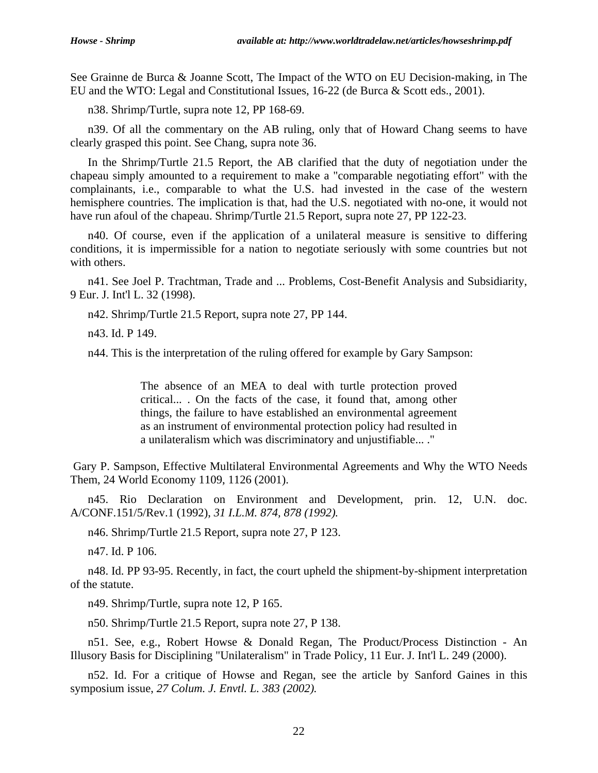See Grainne de Burca & Joanne Scott, The Impact of the WTO on EU Decision-making, in The EU and the WTO: Legal and Constitutional Issues, 16-22 (de Burca & Scott eds., 2001).

n38. Shrimp/Turtle, supra note 12, PP 168-69.

n39. Of all the commentary on the AB ruling, only that of Howard Chang seems to have clearly grasped this point. See Chang, supra note 36.

In the Shrimp/Turtle 21.5 Report, the AB clarified that the duty of negotiation under the chapeau simply amounted to a requirement to make a "comparable negotiating effort" with the complainants, i.e., comparable to what the U.S. had invested in the case of the western hemisphere countries. The implication is that, had the U.S. negotiated with no-one, it would not have run afoul of the chapeau. Shrimp/Turtle 21.5 Report, supra note 27, PP 122-23.

n40. Of course, even if the application of a unilateral measure is sensitive to differing conditions, it is impermissible for a nation to negotiate seriously with some countries but not with others.

n41. See Joel P. Trachtman, Trade and ... Problems, Cost-Benefit Analysis and Subsidiarity, 9 Eur. J. Int'l L. 32 (1998).

n42. Shrimp/Turtle 21.5 Report, supra note 27, PP 144.

n43. Id. P 149.

n44. This is the interpretation of the ruling offered for example by Gary Sampson:

The absence of an MEA to deal with turtle protection proved critical... . On the facts of the case, it found that, among other things, the failure to have established an environmental agreement as an instrument of environmental protection policy had resulted in a unilateralism which was discriminatory and unjustifiable... ."

 Gary P. Sampson, Effective Multilateral Environmental Agreements and Why the WTO Needs Them, 24 World Economy 1109, 1126 (2001).

n45. Rio Declaration on Environment and Development, prin. 12, U.N. doc. A/CONF.151/5/Rev.1 (1992), *31 I.L.M. 874, 878 (1992).*

n46. Shrimp/Turtle 21.5 Report, supra note 27, P 123.

n47. Id. P 106.

n48. Id. PP 93-95. Recently, in fact, the court upheld the shipment-by-shipment interpretation of the statute.

n49. Shrimp/Turtle, supra note 12, P 165.

n50. Shrimp/Turtle 21.5 Report, supra note 27, P 138.

n51. See, e.g., Robert Howse & Donald Regan, The Product/Process Distinction - An Illusory Basis for Disciplining "Unilateralism" in Trade Policy, 11 Eur. J. Int'l L. 249 (2000).

n52. Id. For a critique of Howse and Regan, see the article by Sanford Gaines in this symposium issue, *27 Colum. J. Envtl. L. 383 (2002).*